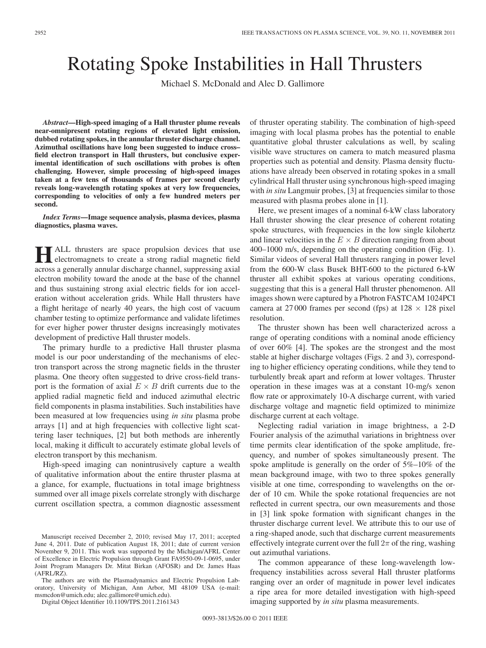## Rotating Spoke Instabilities in Hall Thrusters

Michael S. McDonald and Alec D. Gallimore

*Abstract***—High-speed imaging of a Hall thruster plume reveals near-omnipresent rotating regions of elevated light emission, dubbed rotating spokes, in the annular thruster discharge channel. Azimuthal oscillations have long been suggested to induce cross– field electron transport in Hall thrusters, but conclusive experimental identification of such oscillations with probes is often challenging. However, simple processing of high-speed images taken at a few tens of thousands of frames per second clearly reveals long-wavelength rotating spokes at very low frequencies, corresponding to velocities of only a few hundred meters per second.**

*Index Terms***—Image sequence analysis, plasma devices, plasma diagnostics, plasma waves.**

**HALL** thrusters are space propulsion devices that use<br>electromagnets to create a strong radial magnetic field across a generally annular discharge channel, suppressing axial electron mobility toward the anode at the base of the channel and thus sustaining strong axial electric fields for ion acceleration without acceleration grids. While Hall thrusters have a flight heritage of nearly 40 years, the high cost of vacuum chamber testing to optimize performance and validate lifetimes for ever higher power thruster designs increasingly motivates development of predictive Hall thruster models.

The primary hurdle to a predictive Hall thruster plasma model is our poor understanding of the mechanisms of electron transport across the strong magnetic fields in the thruster plasma. One theory often suggested to drive cross-field transport is the formation of axial  $E \times B$  drift currents due to the applied radial magnetic field and induced azimuthal electric field components in plasma instabilities. Such instabilities have been measured at low frequencies using *in situ* plasma probe arrays [1] and at high frequencies with collective light scattering laser techniques, [2] but both methods are inherently local, making it difficult to accurately estimate global levels of electron transport by this mechanism.

High-speed imaging can nonintrusively capture a wealth of qualitative information about the entire thruster plasma at a glance, for example, fluctuations in total image brightness summed over all image pixels correlate strongly with discharge current oscillation spectra, a common diagnostic assessment

The authors are with the Plasmadynamics and Electric Propulsion Laboratory, University of Michigan, Ann Arbor, MI 48109 USA (e-mail: msmcdon@umich.edu; alec.gallimore@umich.edu).

Digital Object Identifier 10.1109/TPS.2011.2161343

of thruster operating stability. The combination of high-speed imaging with local plasma probes has the potential to enable quantitative global thruster calculations as well, by scaling visible wave structures on camera to match measured plasma properties such as potential and density. Plasma density fluctuations have already been observed in rotating spokes in a small cylindrical Hall thruster using synchronous high-speed imaging with *in situ* Langmuir probes, [3] at frequencies similar to those measured with plasma probes alone in [1].

Here, we present images of a nominal 6-kW class laboratory Hall thruster showing the clear presence of coherent rotating spoke structures, with frequencies in the low single kilohertz and linear velocities in the  $E \times B$  direction ranging from about 400–1000 m/s, depending on the operating condition (Fig. 1). Similar videos of several Hall thrusters ranging in power level from the 600-W class Busek BHT-600 to the pictured 6-kW thruster all exhibit spokes at various operating conditions, suggesting that this is a general Hall thruster phenomenon. All images shown were captured by a Photron FASTCAM 1024PCI camera at 27 000 frames per second (fps) at  $128 \times 128$  pixel resolution.

The thruster shown has been well characterized across a range of operating conditions with a nominal anode efficiency of over 60% [4]. The spokes are the strongest and the most stable at higher discharge voltages (Figs. 2 and 3), corresponding to higher efficiency operating conditions, while they tend to turbulently break apart and reform at lower voltages. Thruster operation in these images was at a constant 10-mg/s xenon flow rate or approximately 10-A discharge current, with varied discharge voltage and magnetic field optimized to minimize discharge current at each voltage.

Neglecting radial variation in image brightness, a 2-D Fourier analysis of the azimuthal variations in brightness over time permits clear identification of the spoke amplitude, frequency, and number of spokes simultaneously present. The spoke amplitude is generally on the order of 5%–10% of the mean background image, with two to three spokes generally visible at one time, corresponding to wavelengths on the order of 10 cm. While the spoke rotational frequencies are not reflected in current spectra, our own measurements and those in [3] link spoke formation with significant changes in the thruster discharge current level. We attribute this to our use of a ring-shaped anode, such that discharge current measurements effectively integrate current over the full  $2\pi$  of the ring, washing out azimuthal variations.

The common appearance of these long-wavelength lowfrequency instabilities across several Hall thruster platforms ranging over an order of magnitude in power level indicates a ripe area for more detailed investigation with high-speed imaging supported by *in situ* plasma measurements.

Manuscript received December 2, 2010; revised May 17, 2011; accepted June 4, 2011. Date of publication August 18, 2011; date of current version November 9, 2011. This work was supported by the Michigan/AFRL Center of Excellence in Electric Propulsion through Grant FA9550-09-1-0695, under Joint Program Managers Dr. Mitat Birkan (AFOSR) and Dr. James Haas (AFRL/RZ).